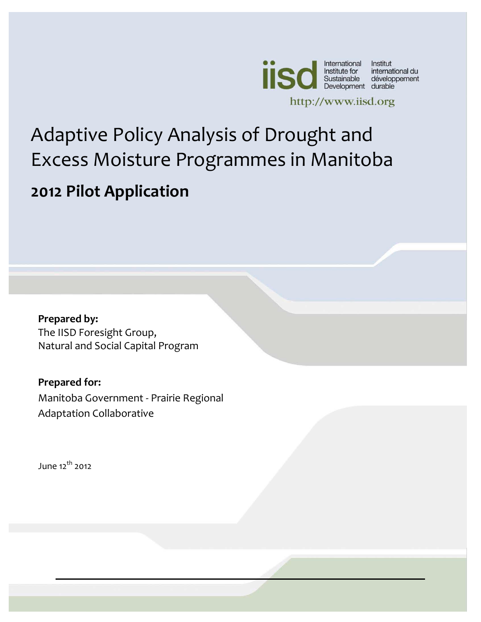

operating support from the Government of Canada,

provided through the Canadian International Development Agency (CIDA), the International Development Research Centre (IDRC) and

# Published by the International Institute for Adaptive Policy Analysis of Drought and mmac in Manitoh Excess Moisture Programmes in Manitoba **2012 Pilot Application**

Development (IISD)

**Prepared by:**  The IISD Foresight Group, Natural and Social Capital Program

**Prepared for:** Manitoba Government - Prairie Regional Adaptation Collaborative

June  $12^{th}$  2012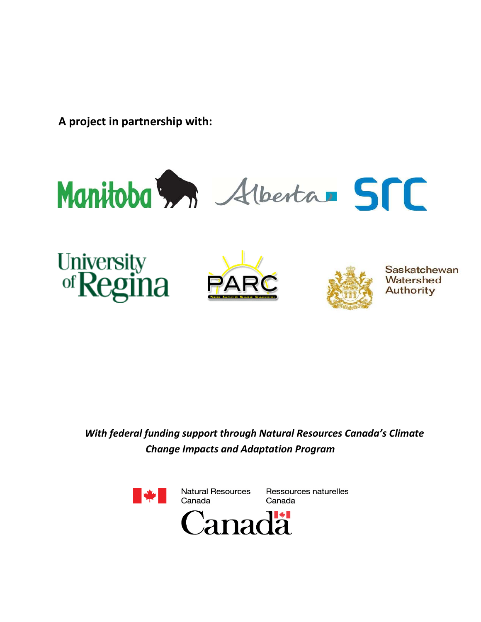**A project in partnership with:** 









Saskatchewan Watershed Authority

*With federal funding support through Natural Resources Canada's Climate Change Impacts and Adaptation Program*

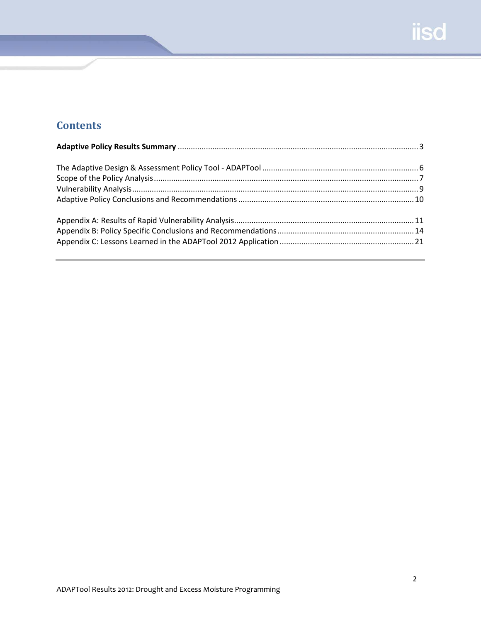# **Contents**

<span id="page-2-0"></span>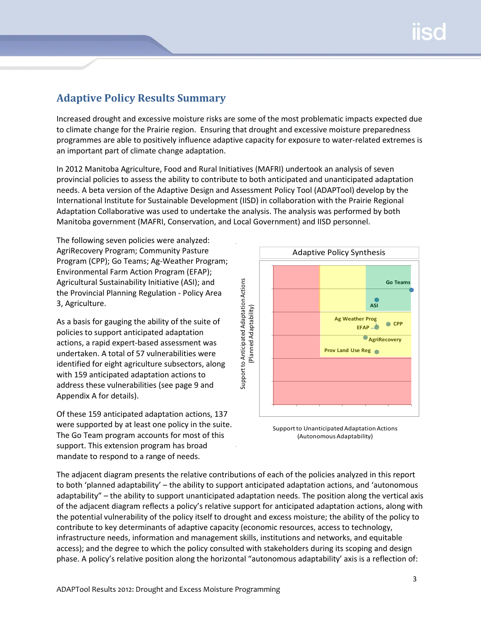## **Adaptive Policy Results Summary**

Increased drought and excessive moisture risks are some of the most problematic impacts expected due to climate change for the Prairie region. Ensuring that drought and excessive moisture preparedness programmes are able to positively influence adaptive capacity for exposure to water-related extremes is an important part of climate change adaptation.

In 2012 Manitoba Agriculture, Food and Rural Initiatives (MAFRI) undertook an analysis of seven provincial policies to assess the ability to contribute to both anticipated and unanticipated adaptation needs. A beta version of the Adaptive Design and Assessment Policy Tool (ADAPTool) develop by the International Institute for Sustainable Development (IISD) in collaboration with the Prairie Regional Adaptation Collaborative was used to undertake the analysis. The analysis was performed by both Manitoba government (MAFRI, Conservation, and Local Government) and IISD personnel.

The following seven policies were analyzed: AgriRecovery Program; Community Pasture Program (CPP); Go Teams; Ag-Weather Program; Environmental Farm Action Program (EFAP); Agricultural Sustainability Initiative (ASI); and the Provincial Planning Regulation - Policy Area 3, Agriculture.

As a basis for gauging the ability of the suite of policies to support anticipated adaptation actions, a rapid expert-based assessment was undertaken. A total of 57 vulnerabilities were identified for eight agriculture subsectors, along with 159 anticipated adaptation actions to address these vulnerabilities (see page 9 and Appendix A for details).

Of these 159 anticipated adaptation actions, 137 were supported by at least one policy in the suite. The Go Team program accounts for most of this support. This extension program has broad mandate to respond to a range of needs.



Support to Unanticipated Adaptation Actions (Autonomous Adaptability)

The adjacent diagram presents the relative contributions of each of the policies analyzed in this report to both 'planned adaptability' – the ability to support anticipated adaptation actions, and 'autonomous adaptability" – the ability to support unanticipated adaptation needs. The position along the vertical axis of the adjacent diagram reflects a policy's relative support for anticipated adaptation actions, along with the potential vulnerability of the policy itself to drought and excess moisture; the ability of the policy to contribute to key determinants of adaptive capacity (economic resources, access to technology, infrastructure needs, information and management skills, institutions and networks, and equitable access); and the degree to which the policy consulted with stakeholders during its scoping and design phase. A policy's relative position along the horizontal "autonomous adaptability' axis is a reflection of: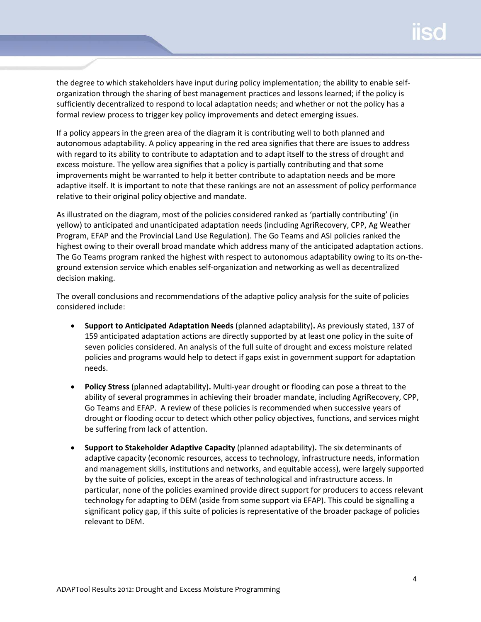the degree to which stakeholders have input during policy implementation; the ability to enable selforganization through the sharing of best management practices and lessons learned; if the policy is sufficiently decentralized to respond to local adaptation needs; and whether or not the policy has a formal review process to trigger key policy improvements and detect emerging issues.

If a policy appears in the green area of the diagram it is contributing well to both planned and autonomous adaptability. A policy appearing in the red area signifies that there are issues to address with regard to its ability to contribute to adaptation and to adapt itself to the stress of drought and excess moisture. The yellow area signifies that a policy is partially contributing and that some improvements might be warranted to help it better contribute to adaptation needs and be more adaptive itself. It is important to note that these rankings are not an assessment of policy performance relative to their original policy objective and mandate.

As illustrated on the diagram, most of the policies considered ranked as 'partially contributing' (in yellow) to anticipated and unanticipated adaptation needs (including AgriRecovery, CPP, Ag Weather Program, EFAP and the Provincial Land Use Regulation). The Go Teams and ASI policies ranked the highest owing to their overall broad mandate which address many of the anticipated adaptation actions. The Go Teams program ranked the highest with respect to autonomous adaptability owing to its on-theground extension service which enables self-organization and networking as well as decentralized decision making.

The overall conclusions and recommendations of the adaptive policy analysis for the suite of policies considered include:

- **Support to Anticipated Adaptation Needs** (planned adaptability)**.** As previously stated, 137 of 159 anticipated adaptation actions are directly supported by at least one policy in the suite of seven policies considered. An analysis of the full suite of drought and excess moisture related policies and programs would help to detect if gaps exist in government support for adaptation needs.
- **Policy Stress** (planned adaptability)**.** Multi-year drought or flooding can pose a threat to the ability of several programmes in achieving their broader mandate, including AgriRecovery, CPP, Go Teams and EFAP. A review of these policies is recommended when successive years of drought or flooding occur to detect which other policy objectives, functions, and services might be suffering from lack of attention.
- **Support to Stakeholder Adaptive Capacity** (planned adaptability)**.** The six determinants of adaptive capacity (economic resources, access to technology, infrastructure needs, information and management skills, institutions and networks, and equitable access), were largely supported by the suite of policies, except in the areas of technological and infrastructure access. In particular, none of the policies examined provide direct support for producers to access relevant technology for adapting to DEM (aside from some support via EFAP). This could be signalling a significant policy gap, if this suite of policies is representative of the broader package of policies relevant to DEM.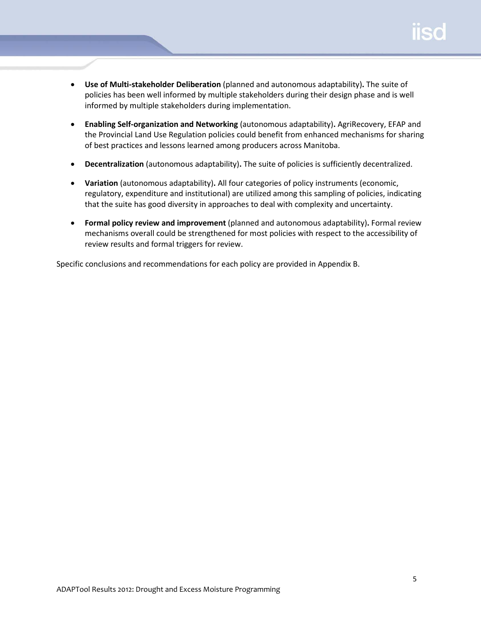- **Use of Multi-stakeholder Deliberation** (planned and autonomous adaptability)**.** The suite of policies has been well informed by multiple stakeholders during their design phase and is well informed by multiple stakeholders during implementation.
- **Enabling Self-organization and Networking** (autonomous adaptability)**.** AgriRecovery, EFAP and the Provincial Land Use Regulation policies could benefit from enhanced mechanisms for sharing of best practices and lessons learned among producers across Manitoba.
- **Decentralization** (autonomous adaptability)**.** The suite of policies is sufficiently decentralized.
- **Variation** (autonomous adaptability)**.** All four categories of policy instruments (economic, regulatory, expenditure and institutional) are utilized among this sampling of policies, indicating that the suite has good diversity in approaches to deal with complexity and uncertainty.
- **Formal policy review and improvement** (planned and autonomous adaptability)**.** Formal review mechanisms overall could be strengthened for most policies with respect to the accessibility of review results and formal triggers for review.

Specific conclusions and recommendations for each policy are provided in Appendix B.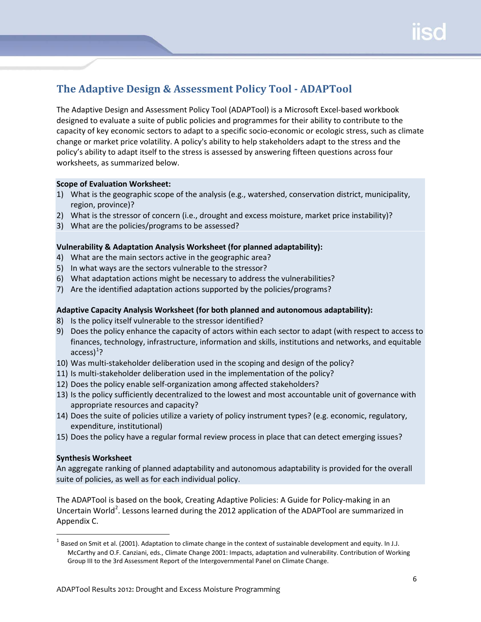## <span id="page-6-0"></span>**The Adaptive Design & Assessment Policy Tool - ADAPTool**

The Adaptive Design and Assessment Policy Tool (ADAPTool) is a Microsoft Excel-based workbook designed to evaluate a suite of public policies and programmes for their ability to contribute to the capacity of key economic sectors to adapt to a specific socio-economic or ecologic stress, such as climate change or market price volatility. A policy's ability to help stakeholders adapt to the stress and the policy's ability to adapt itself to the stress is assessed by answering fifteen questions across four worksheets, as summarized below.

#### **Scope of Evaluation Worksheet:**

- 1) What is the geographic scope of the analysis (e.g., watershed, conservation district, municipality, region, province)?
- 2) What is the stressor of concern (i.e., drought and excess moisture, market price instability)?
- 3) What are the policies/programs to be assessed?

#### **Vulnerability & Adaptation Analysis Worksheet (for planned adaptability):**

- 4) What are the main sectors active in the geographic area?
- 5) In what ways are the sectors vulnerable to the stressor?
- 6) What adaptation actions might be necessary to address the vulnerabilities?
- 7) Are the identified adaptation actions supported by the policies/programs?

#### **Adaptive Capacity Analysis Worksheet (for both planned and autonomous adaptability):**

- 8) Is the policy itself vulnerable to the stressor identified?
- 9) Does the policy enhance the capacity of actors within each sector to adapt (with respect to access to finances, technology, infrastructure, information and skills, institutions and networks, and equitable access) $^1$  $^1$ ?
- 10) Was multi-stakeholder deliberation used in the scoping and design of the policy?
- 11) Is multi-stakeholder deliberation used in the implementation of the policy?
- 12) Does the policy enable self-organization among affected stakeholders?
- 13) Is the policy sufficiently decentralized to the lowest and most accountable unit of governance with appropriate resources and capacity?
- 14) Does the suite of policies utilize a variety of policy instrument types? (e.g. economic, regulatory, expenditure, institutional)
- 15) Does the policy have a regular formal review process in place that can detect emerging issues?

#### **Synthesis Worksheet**

An aggregate ranking of planned adaptability and autonomous adaptability is provided for the overall suite of policies, as well as for each individual policy.

The ADAPTool is based on the book, Creating Adaptive Policies: A Guide for Policy-making in an Uncertain World<sup>[2](#page-6-2)</sup>. Lessons learned during the 2012 application of the ADAPTool are summarized in Appendix C.

<span id="page-6-2"></span><span id="page-6-1"></span> $^1$  Based on Smit et al. (2001). Adaptation to climate change in the context of sustainable development and equity. In J.J. McCarthy and O.F. Canziani, eds., Climate Change 2001: Impacts, adaptation and vulnerability. Contribution of Working Group III to the 3rd Assessment Report of the Intergovernmental Panel on Climate Change.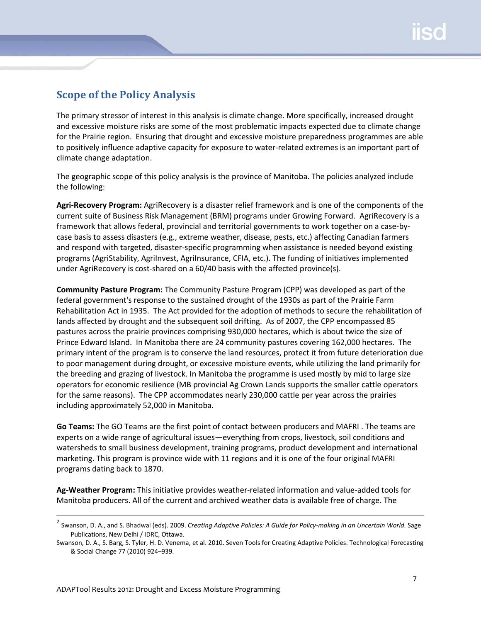### <span id="page-7-0"></span>**Scope of the Policy Analysis**

The primary stressor of interest in this analysis is climate change. More specifically, increased drought and excessive moisture risks are some of the most problematic impacts expected due to climate change for the Prairie region. Ensuring that drought and excessive moisture preparedness programmes are able to positively influence adaptive capacity for exposure to water-related extremes is an important part of climate change adaptation.

The geographic scope of this policy analysis is the province of Manitoba. The policies analyzed include the following:

**Agri-Recovery Program:** AgriRecovery is a disaster relief framework and is one of the components of the current suite of Business Risk Management (BRM) programs under Growing Forward. AgriRecovery is a framework that allows federal, provincial and territorial governments to work together on a case-bycase basis to assess disasters (e.g., extreme weather, disease, pests, etc.) affecting Canadian farmers and respond with targeted, disaster-specific programming when assistance is needed beyond existing programs (AgriStability, AgriInvest, AgriInsurance, CFIA, etc.). The funding of initiatives implemented under AgriRecovery is cost-shared on a 60/40 basis with the affected province(s).

**Community Pasture Program:** The Community Pasture Program (CPP) was developed as part of the federal government's response to the sustained drought of the 1930s as part of the Prairie Farm Rehabilitation Act in 1935. The Act provided for the adoption of methods to secure the rehabilitation of lands affected by drought and the subsequent soil drifting. As of 2007, the CPP encompassed 85 pastures across the prairie provinces comprising 930,000 hectares, which is about twice the size of Prince Edward Island. In Manitoba there are 24 community pastures covering 162,000 hectares. The primary intent of the program is to conserve the land resources, protect it from future deterioration due to poor management during drought, or excessive moisture events, while utilizing the land primarily for the breeding and grazing of livestock. In Manitoba the programme is used mostly by mid to large size operators for economic resilience (MB provincial Ag Crown Lands supports the smaller cattle operators for the same reasons). The CPP accommodates nearly 230,000 cattle per year across the prairies including approximately 52,000 in Manitoba.

**Go Teams:** The GO Teams are the first point of contact between producers and MAFRI . The teams are experts on a wide range of agricultural issues—everything from crops, livestock, soil conditions and watersheds to small business development, training programs, product development and international marketing. This program is province wide with 11 regions and it is one of the four original MAFRI programs dating back to 1870.

**Ag-Weather Program:** This initiative provides weather-related information and value-added tools for Manitoba producers. All of the current and archived weather data is available free of charge. The

 <sup>2</sup> Swanson, D. A., and S. Bhadwal (eds). 2009. *Creating Adaptive Policies: A Guide [for Policy-making in an Uncertain World.](http://www.iisd.org/publications/pub.aspx?id=1180)* Sage Publications, New Delhi / IDRC, Ottawa.

Swanson, D. A., S. Barg, S. Tyler, H. D. Venema, et al. 2010. Seven Tools for Creating Adaptive Policies. Technological Forecasting & Social Change 77 (2010) 924–939.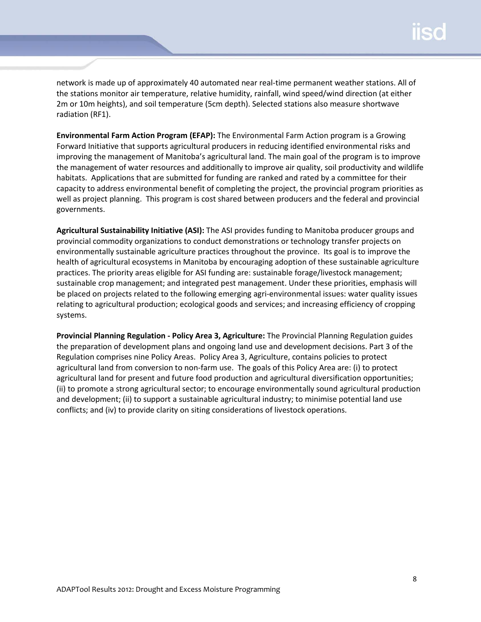network is made up of approximately 40 automated near real-time permanent weather stations. All of the stations monitor air temperature, relative humidity, rainfall, wind speed/wind direction (at either 2m or 10m heights), and soil temperature (5cm depth). Selected stations also measure shortwave radiation (RF1).

**Environmental Farm Action Program (EFAP):** The Environmental Farm Action program is a Growing Forward Initiative that supports agricultural producers in reducing identified environmental risks and improving the management of Manitoba's agricultural land. The main goal of the program is to improve the management of water resources and additionally to improve air quality, soil productivity and wildlife habitats. Applications that are submitted for funding are ranked and rated by a committee for their capacity to address environmental benefit of completing the project, the provincial program priorities as well as project planning. This program is cost shared between producers and the federal and provincial governments.

**Agricultural Sustainability Initiative (ASI):** The ASI provides funding to Manitoba producer groups and provincial commodity organizations to conduct demonstrations or technology transfer projects on environmentally sustainable agriculture practices throughout the province. Its goal is to improve the health of agricultural ecosystems in Manitoba by encouraging adoption of these sustainable agriculture practices. The priority areas eligible for ASI funding are: sustainable forage/livestock management; sustainable crop management; and integrated pest management. Under these priorities, emphasis will be placed on projects related to the following emerging agri-environmental issues: water quality issues relating to agricultural production; ecological goods and services; and increasing efficiency of cropping systems.

**Provincial Planning Regulation - Policy Area 3, Agriculture:** The Provincial Planning Regulation guides the preparation of development plans and ongoing land use and development decisions. Part 3 of the Regulation comprises nine Policy Areas. Policy Area 3, Agriculture, contains policies to protect agricultural land from conversion to non-farm use. The goals of this Policy Area are: (i) to protect agricultural land for present and future food production and agricultural diversification opportunities; (ii) to promote a strong agricultural sector; to encourage environmentally sound agricultural production and development; (ii) to support a sustainable agricultural industry; to minimise potential land use conflicts; and (iv) to provide clarity on siting considerations of livestock operations.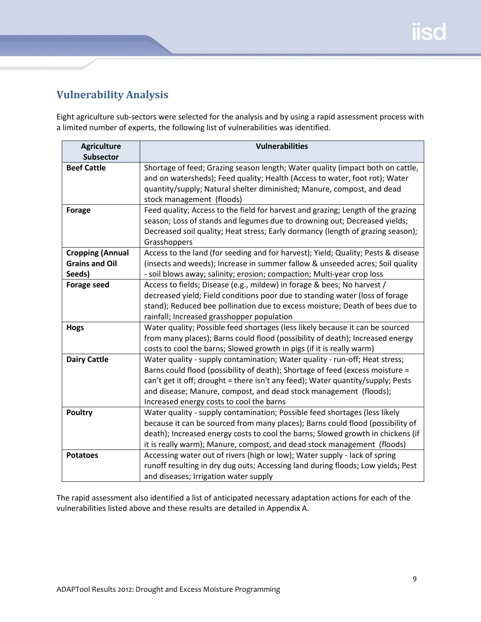## <span id="page-9-0"></span>**Vulnerability Analysis**

Eight agriculture sub-sectors were selected for the analysis and by using a rapid assessment process with a limited number of experts, the following list of vulnerabilities was identified.

| <b>Agriculture</b>      | <b>Vulnerabilities</b>                                                            |
|-------------------------|-----------------------------------------------------------------------------------|
| <b>Subsector</b>        |                                                                                   |
| <b>Beef Cattle</b>      | Shortage of feed; Grazing season length; Water quality (impact both on cattle,    |
|                         | and on watersheds); Feed quality; Health (Access to water, foot rot); Water       |
|                         | quantity/supply; Natural shelter diminished; Manure, compost, and dead            |
|                         | stock management (floods)                                                         |
| <b>Forage</b>           | Feed quality; Access to the field for harvest and grazing; Length of the grazing  |
|                         | season; Loss of stands and legumes due to drowning out; Decreased yields;         |
|                         | Decreased soil quality; Heat stress; Early dormancy (length of grazing season);   |
|                         | Grasshoppers                                                                      |
| <b>Cropping (Annual</b> | Access to the land (for seeding and for harvest); Yield; Quality; Pests & disease |
| <b>Grains and Oil</b>   | (insects and weeds); Increase in summer fallow & unseeded acres; Soil quality     |
| Seeds)                  | - soil blows away; salinity; erosion; compaction; Multi-year crop loss            |
| <b>Forage seed</b>      | Access to fields; Disease (e.g., mildew) in forage & bees; No harvest /           |
|                         | decreased yield; Field conditions poor due to standing water (loss of forage      |
|                         | stand); Reduced bee pollination due to excess moisture; Death of bees due to      |
|                         | rainfall; Increased grasshopper population                                        |
| <b>Hogs</b>             | Water quality; Possible feed shortages (less likely because it can be sourced     |
|                         | from many places); Barns could flood (possibility of death); Increased energy     |
|                         | costs to cool the barns; Slowed growth in pigs (if it is really warm)             |
| <b>Dairy Cattle</b>     | Water quality - supply contamination; Water quality - run-off; Heat stress;       |
|                         | Barns could flood (possibility of death); Shortage of feed (excess moisture =     |
|                         | can't get it off; drought = there isn't any feed); Water quantity/supply; Pests   |
|                         | and disease; Manure, compost, and dead stock management (floods);                 |
|                         | Increased energy costs to cool the barns                                          |
| <b>Poultry</b>          | Water quality - supply contamination; Possible feed shortages (less likely        |
|                         | because it can be sourced from many places); Barns could flood (possibility of    |
|                         | death); Increased energy costs to cool the barns; Slowed growth in chickens (if   |
|                         | it is really warm); Manure, compost, and dead stock management (floods)           |
| <b>Potatoes</b>         | Accessing water out of rivers (high or low); Water supply - lack of spring        |
|                         | runoff resulting in dry dug outs; Accessing land during floods; Low yields; Pest  |
|                         | and diseases; Irrigation water supply                                             |

The rapid assessment also identified a list of anticipated necessary adaptation actions for each of the vulnerabilities listed above and these results are detailed in Appendix A.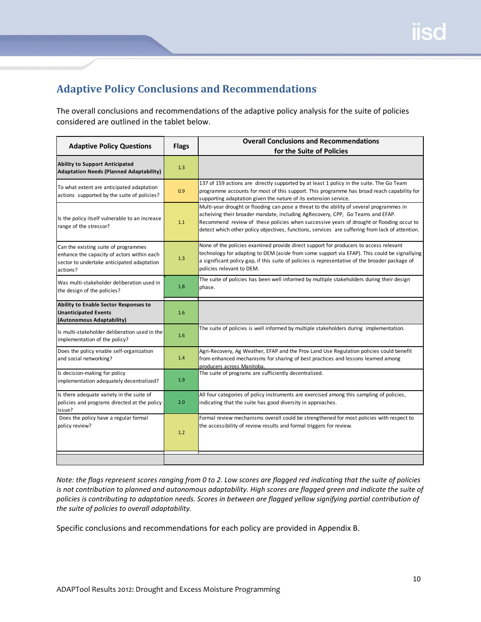## <span id="page-10-0"></span>**Adaptive Policy Conclusions and Recommendations**

The overall conclusions and recommendations of the adaptive policy analysis for the suite of policies considered are outlined in the tablet below.

| <b>Adaptive Policy Questions</b>                                                                                                             | <b>Flags</b> | <b>Overall Conclusions and Recommendations</b>                                                                                                                                                                                                                                                                                                                            |
|----------------------------------------------------------------------------------------------------------------------------------------------|--------------|---------------------------------------------------------------------------------------------------------------------------------------------------------------------------------------------------------------------------------------------------------------------------------------------------------------------------------------------------------------------------|
|                                                                                                                                              |              | for the Suite of Policies                                                                                                                                                                                                                                                                                                                                                 |
| <b>Ability to Support Anticipated</b><br><b>Adaptation Needs (Planned Adaptability)</b>                                                      | 1.3          |                                                                                                                                                                                                                                                                                                                                                                           |
| To what extent are anticipated adaptation<br>actions supported by the suite of policies?                                                     | 0.9          | 137 of 159 actions are directly supported by at least 1 policy in the suite. The Go Team<br>programme accounts for most of this support. This programme has broad reach capability for<br>supporting adaptation given the nature of its extension service.                                                                                                                |
| Is the policy itself vulnerable to an increase<br>range of the stressor?                                                                     | 1.1          | Multi-year drought or flooding can pose a threat to the ability of several programmes in<br>acheiving their broader mandate, including AgRecovery, CPP, Go Teams and EFAP.<br>Recommend review of these policies when successive years of drought or flooding occur to<br>detect which other policy objectives, functions, services are suffering from lack of attention. |
| Can the existing suite of programmes<br>enhance the capacity of actors within each<br>sector to undertake anticipated adaptation<br>actions? | 1.3          | None of the policies examined provide direct support for producers to access relevant<br>technology for adapting to DEM (aside from some support via EFAP). This could be signallying<br>a significant policy gap, if this suite of policies is representative of the broader package of<br>policies relevant to DEM.                                                     |
| Was multi-stakeholder deliberation used in<br>the design of the policies?                                                                    | 1.8          | The suite of policies has been well informed by multiple stakeholders during their design<br>phase.                                                                                                                                                                                                                                                                       |
| Ability to Enable Sector Responses to<br><b>Unanticipated Events</b><br>(Autonomous Adaptability)                                            | 1.6          |                                                                                                                                                                                                                                                                                                                                                                           |
| Is multi-stakeholder deliberation used in the<br>implementation of the policy?                                                               | 1.6          | The suite of policies is well informed by multiple stakeholders during implementation.                                                                                                                                                                                                                                                                                    |
| Does the policy enable self-organization<br>and social networking?                                                                           | 1.4          | Agri-Recovery, Ag Weather, EFAP and the Prov Land Use Regulation policies could benefit<br>from enhanced mechanisms for sharing of best practices and lessons learned among<br>producers across Manitoba.                                                                                                                                                                 |
| Is decision-making for policy<br>implementation adequately decentralized?                                                                    | 1.9          | The suite of programs are sufficiently decentralized.                                                                                                                                                                                                                                                                                                                     |
| Is there adequate variety in the suite of<br>policies and programs directed at the policy<br>issue?                                          | 2.0          | All four categories of policy instruments are exercised among this sampling of policies,<br>indicating that the suite has good diversity in approaches.                                                                                                                                                                                                                   |
| Does the policy have a regular formal<br>policy review?                                                                                      | 1.2          | Formal review mechanisms overall could be strengthened for most policies with respect to<br>the accessibility of review results and formal triggers for review.                                                                                                                                                                                                           |
|                                                                                                                                              |              |                                                                                                                                                                                                                                                                                                                                                                           |

*Note: the flags represent scores ranging from 0 to 2. Low scores are flagged red indicating that the suite of policies is not contribution to planned and autonomous adaptability. High scores are flagged green and indicate the suite of policies is contributing to adaptation needs. Scores in between are flagged yellow signifying partial contribution of the suite of policies to overall adaptability.*

Specific conclusions and recommendations for each policy are provided in Appendix B.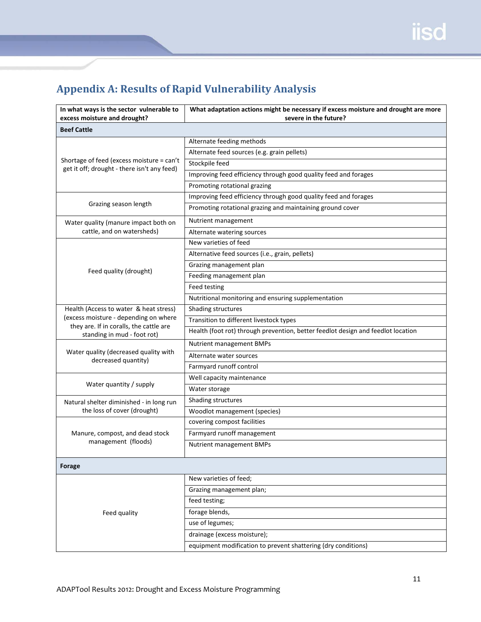# <span id="page-11-0"></span>**Appendix A: Results of Rapid Vulnerability Analysis**

| In what ways is the sector vulnerable to<br>excess moisture and drought? | What adaptation actions might be necessary if excess moisture and drought are more<br>severe in the future? |  |  |
|--------------------------------------------------------------------------|-------------------------------------------------------------------------------------------------------------|--|--|
| <b>Beef Cattle</b>                                                       |                                                                                                             |  |  |
|                                                                          | Alternate feeding methods                                                                                   |  |  |
|                                                                          | Alternate feed sources (e.g. grain pellets)                                                                 |  |  |
| Shortage of feed (excess moisture = can't                                | Stockpile feed                                                                                              |  |  |
| get it off; drought - there isn't any feed)                              | Improving feed efficiency through good quality feed and forages                                             |  |  |
|                                                                          | Promoting rotational grazing                                                                                |  |  |
|                                                                          | Improving feed efficiency through good quality feed and forages                                             |  |  |
| Grazing season length                                                    | Promoting rotational grazing and maintaining ground cover                                                   |  |  |
| Water quality (manure impact both on                                     | Nutrient management                                                                                         |  |  |
| cattle, and on watersheds)                                               | Alternate watering sources                                                                                  |  |  |
|                                                                          | New varieties of feed                                                                                       |  |  |
|                                                                          | Alternative feed sources (i.e., grain, pellets)                                                             |  |  |
|                                                                          | Grazing management plan                                                                                     |  |  |
| Feed quality (drought)                                                   | Feeding management plan                                                                                     |  |  |
|                                                                          | Feed testing                                                                                                |  |  |
|                                                                          | Nutritional monitoring and ensuring supplementation                                                         |  |  |
| Health (Access to water & heat stress)                                   | Shading structures                                                                                          |  |  |
| (excess moisture - depending on where                                    | Transition to different livestock types                                                                     |  |  |
| they are. If in coralls, the cattle are<br>standing in mud - foot rot)   | Health (foot rot) through prevention, better feedlot design and feedlot location                            |  |  |
|                                                                          | Nutrient management BMPs                                                                                    |  |  |
| Water quality (decreased quality with<br>decreased quantity)             | Alternate water sources                                                                                     |  |  |
|                                                                          | Farmyard runoff control                                                                                     |  |  |
|                                                                          | Well capacity maintenance                                                                                   |  |  |
| Water quantity / supply                                                  | Water storage                                                                                               |  |  |
| Natural shelter diminished - in long run                                 | Shading structures                                                                                          |  |  |
| the loss of cover (drought)                                              | Woodlot management (species)                                                                                |  |  |
|                                                                          | covering compost facilities                                                                                 |  |  |
| Manure, compost, and dead stock                                          | Farmyard runoff management                                                                                  |  |  |
| management (floods)                                                      | Nutrient management BMPs                                                                                    |  |  |
| Forage                                                                   |                                                                                                             |  |  |
|                                                                          | New varieties of feed;                                                                                      |  |  |
|                                                                          | Grazing management plan;                                                                                    |  |  |
|                                                                          | feed testing;                                                                                               |  |  |
| Feed quality                                                             | forage blends,                                                                                              |  |  |
|                                                                          | use of legumes;                                                                                             |  |  |
|                                                                          | drainage (excess moisture);                                                                                 |  |  |
|                                                                          | equipment modification to prevent shattering (dry conditions)                                               |  |  |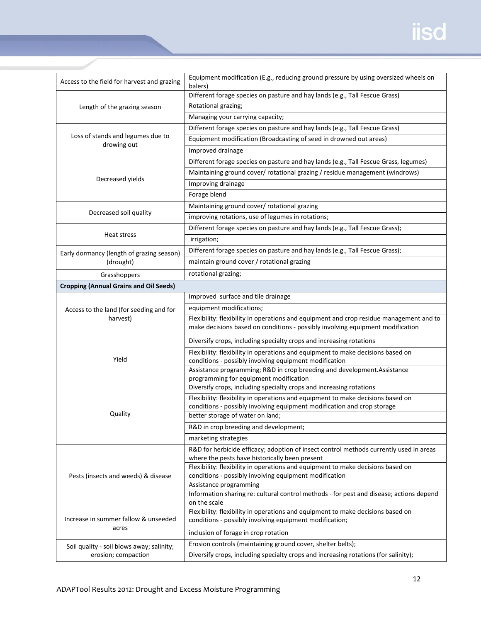| Access to the field for harvest and grazing            | Equipment modification (E.g., reducing ground pressure by using oversized wheels on<br>balers)                                                                            |  |  |  |
|--------------------------------------------------------|---------------------------------------------------------------------------------------------------------------------------------------------------------------------------|--|--|--|
|                                                        | Different forage species on pasture and hay lands (e.g., Tall Fescue Grass)                                                                                               |  |  |  |
| Length of the grazing season                           | Rotational grazing;                                                                                                                                                       |  |  |  |
|                                                        | Managing your carrying capacity;                                                                                                                                          |  |  |  |
| Loss of stands and legumes due to                      | Different forage species on pasture and hay lands (e.g., Tall Fescue Grass)                                                                                               |  |  |  |
|                                                        | Equipment modification (Broadcasting of seed in drowned out areas)                                                                                                        |  |  |  |
| drowing out                                            | Improved drainage                                                                                                                                                         |  |  |  |
|                                                        | Different forage species on pasture and hay lands (e.g., Tall Fescue Grass, legumes)                                                                                      |  |  |  |
|                                                        | Maintaining ground cover/ rotational grazing / residue management (windrows)                                                                                              |  |  |  |
| Decreased yields                                       | Improving drainage                                                                                                                                                        |  |  |  |
|                                                        | Forage blend                                                                                                                                                              |  |  |  |
|                                                        | Maintaining ground cover/ rotational grazing                                                                                                                              |  |  |  |
| Decreased soil quality                                 | improving rotations, use of legumes in rotations;                                                                                                                         |  |  |  |
|                                                        | Different forage species on pasture and hay lands (e.g., Tall Fescue Grass);                                                                                              |  |  |  |
| Heat stress                                            | irrigation;                                                                                                                                                               |  |  |  |
|                                                        | Different forage species on pasture and hay lands (e.g., Tall Fescue Grass);                                                                                              |  |  |  |
| Early dormancy (length of grazing season)<br>(drought) | maintain ground cover / rotational grazing                                                                                                                                |  |  |  |
| Grasshoppers                                           | rotational grazing;                                                                                                                                                       |  |  |  |
| <b>Cropping (Annual Grains and Oil Seeds)</b>          |                                                                                                                                                                           |  |  |  |
|                                                        | Improved surface and tile drainage                                                                                                                                        |  |  |  |
|                                                        |                                                                                                                                                                           |  |  |  |
| Access to the land (for seeding and for                | equipment modifications;                                                                                                                                                  |  |  |  |
| harvest)                                               | Flexibility: flexibility in operations and equipment and crop residue management and to<br>make decisions based on conditions - possibly involving equipment modification |  |  |  |
|                                                        | Diversify crops, including specialty crops and increasing rotations                                                                                                       |  |  |  |
| Yield                                                  | Flexibility: flexibility in operations and equipment to make decisions based on<br>conditions - possibly involving equipment modification                                 |  |  |  |
|                                                        | Assistance programming; R&D in crop breeding and development. Assistance                                                                                                  |  |  |  |
|                                                        | programming for equipment modification<br>Diversify crops, including specialty crops and increasing rotations                                                             |  |  |  |
|                                                        | Flexibility: flexibility in operations and equipment to make decisions based on                                                                                           |  |  |  |
|                                                        | conditions - possibly involving equipment modification and crop storage                                                                                                   |  |  |  |
| Quality                                                | better storage of water on land;                                                                                                                                          |  |  |  |
|                                                        | R&D in crop breeding and development;                                                                                                                                     |  |  |  |
|                                                        | marketing strategies                                                                                                                                                      |  |  |  |
|                                                        | R&D for herbicide efficacy; adoption of insect control methods currently used in areas                                                                                    |  |  |  |
|                                                        | where the pests have historically been present                                                                                                                            |  |  |  |
|                                                        | Flexibility: flexibility in operations and equipment to make decisions based on                                                                                           |  |  |  |
| Pests (insects and weeds) & disease                    | conditions - possibly involving equipment modification<br>Assistance programming                                                                                          |  |  |  |
|                                                        | Information sharing re: cultural control methods - for pest and disease; actions depend                                                                                   |  |  |  |
|                                                        | on the scale                                                                                                                                                              |  |  |  |
| Increase in summer fallow & unseeded                   | Flexibility: flexibility in operations and equipment to make decisions based on<br>conditions - possibly involving equipment modification;                                |  |  |  |
| acres                                                  | inclusion of forage in crop rotation                                                                                                                                      |  |  |  |
| Soil quality - soil blows away; salinity;              | Erosion controls (maintaining ground cover, shelter belts);                                                                                                               |  |  |  |
| erosion; compaction                                    | Diversify crops, including specialty crops and increasing rotations (for salinity);                                                                                       |  |  |  |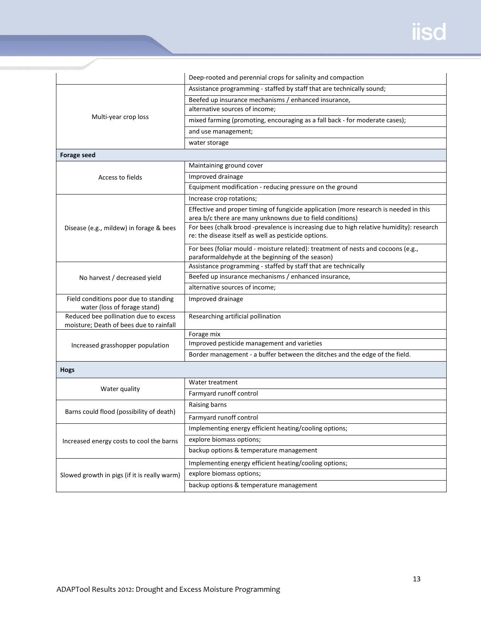|                                              | Deep-rooted and perennial crops for salinity and compaction                                                                                      |  |  |  |
|----------------------------------------------|--------------------------------------------------------------------------------------------------------------------------------------------------|--|--|--|
| Multi-year crop loss                         | Assistance programming - staffed by staff that are technically sound;                                                                            |  |  |  |
|                                              | Beefed up insurance mechanisms / enhanced insurance,                                                                                             |  |  |  |
|                                              | alternative sources of income;                                                                                                                   |  |  |  |
|                                              | mixed farming (promoting, encouraging as a fall back - for moderate cases);                                                                      |  |  |  |
|                                              | and use management;                                                                                                                              |  |  |  |
|                                              | water storage                                                                                                                                    |  |  |  |
| <b>Forage seed</b>                           |                                                                                                                                                  |  |  |  |
|                                              | Maintaining ground cover                                                                                                                         |  |  |  |
| Access to fields                             | Improved drainage                                                                                                                                |  |  |  |
|                                              | Equipment modification - reducing pressure on the ground                                                                                         |  |  |  |
|                                              | Increase crop rotations;                                                                                                                         |  |  |  |
|                                              | Effective and proper timing of fungicide application (more research is needed in this                                                            |  |  |  |
|                                              | area b/c there are many unknowns due to field conditions)                                                                                        |  |  |  |
| Disease (e.g., mildew) in forage & bees      | For bees (chalk brood -prevalence is increasing due to high relative humidity): research<br>re: the disease itself as well as pesticide options. |  |  |  |
|                                              |                                                                                                                                                  |  |  |  |
|                                              | For bees (foliar mould - moisture related): treatment of nests and cocoons (e.g.,<br>paraformaldehyde at the beginning of the season)            |  |  |  |
|                                              | Assistance programming - staffed by staff that are technically                                                                                   |  |  |  |
| No harvest / decreased yield                 | Beefed up insurance mechanisms / enhanced insurance,                                                                                             |  |  |  |
|                                              | alternative sources of income;                                                                                                                   |  |  |  |
| Field conditions poor due to standing        | Improved drainage                                                                                                                                |  |  |  |
| water (loss of forage stand)                 |                                                                                                                                                  |  |  |  |
| Reduced bee pollination due to excess        | Researching artificial pollination                                                                                                               |  |  |  |
| moisture; Death of bees due to rainfall      |                                                                                                                                                  |  |  |  |
|                                              | Forage mix<br>Improved pesticide management and varieties                                                                                        |  |  |  |
| Increased grasshopper population             | Border management - a buffer between the ditches and the edge of the field.                                                                      |  |  |  |
|                                              |                                                                                                                                                  |  |  |  |
| <b>Hogs</b>                                  |                                                                                                                                                  |  |  |  |
|                                              | Water treatment                                                                                                                                  |  |  |  |
| Water quality                                | Farmyard runoff control                                                                                                                          |  |  |  |
|                                              | Raising barns                                                                                                                                    |  |  |  |
| Barns could flood (possibility of death)     | Farmyard runoff control                                                                                                                          |  |  |  |
| Increased energy costs to cool the barns     | Implementing energy efficient heating/cooling options;                                                                                           |  |  |  |
|                                              | explore biomass options;                                                                                                                         |  |  |  |
|                                              | backup options & temperature management                                                                                                          |  |  |  |
|                                              | Implementing energy efficient heating/cooling options;                                                                                           |  |  |  |
| Slowed growth in pigs (if it is really warm) | explore biomass options;                                                                                                                         |  |  |  |
|                                              | backup options & temperature management                                                                                                          |  |  |  |
|                                              |                                                                                                                                                  |  |  |  |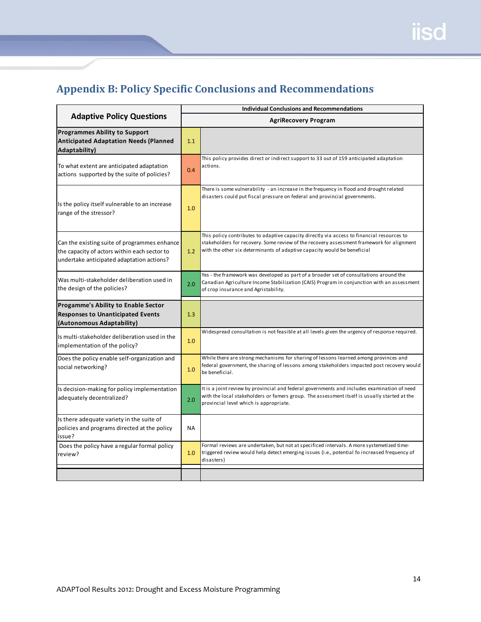# <span id="page-14-0"></span>**Appendix B: Policy Specific Conclusions and Recommendations**

|                                                                                                                                           |                             | <b>Individual Conclusions and Recommendations</b>                                                                                                                                                                                                                   |  |  |  |
|-------------------------------------------------------------------------------------------------------------------------------------------|-----------------------------|---------------------------------------------------------------------------------------------------------------------------------------------------------------------------------------------------------------------------------------------------------------------|--|--|--|
| <b>Adaptive Policy Questions</b>                                                                                                          | <b>AgriRecovery Program</b> |                                                                                                                                                                                                                                                                     |  |  |  |
| <b>Programmes Ability to Support</b><br><b>Anticipated Adaptation Needs (Planned</b><br>Adaptability)                                     |                             |                                                                                                                                                                                                                                                                     |  |  |  |
| To what extent are anticipated adaptation<br>actions supported by the suite of policies?                                                  | 0.4                         | This policy provides direct or indirect support to 33 out of 159 anticipated adaptation<br>actions.                                                                                                                                                                 |  |  |  |
| Is the policy itself vulnerable to an increase<br>range of the stressor?                                                                  | 1.0                         | There is some vulnerability - an increase in the frequency in flood and drought related<br>disasters could put fiscal pressure on federal and provincial governments.                                                                                               |  |  |  |
| Can the existing suite of programmes enhance<br>the capacity of actors within each sector to<br>undertake anticipated adaptation actions? | 1.2                         | This policy contributes to adaptive capacity directly via access to financial resources to<br>stakeholders for recovery. Some review of the recovery assessment framework for alignment<br>with the other six determinants of adaptive capacity would be beneficial |  |  |  |
| Was multi-stakeholder deliberation used in<br>the design of the policies?                                                                 | 2.0                         | Yes - the framework was developed as part of a broader set of consultations around the<br>Canadian Agriculture Income Stabilization (CAIS) Program in conjunction with an assessment<br>of crop insurance and Agristability.                                        |  |  |  |
| <b>Progamme's Ability to Enable Sector</b><br><b>Responses to Unanticipated Events</b><br>(Autonomous Adaptability)                       | 1.3                         |                                                                                                                                                                                                                                                                     |  |  |  |
| Is multi-stakeholder deliberation used in the<br>implementation of the policy?                                                            | 1.0                         | Widespread consultation is not feasible at all levels given the urgency of response required.                                                                                                                                                                       |  |  |  |
| Does the policy enable self-organization and<br>social networking?                                                                        | 1.0                         | While there are strong mechanisms for sharing of lessons learned among provinces and<br>federal government, the sharing of lessons among stakeholders impacted post recovery would<br>be beneficial.                                                                |  |  |  |
| Is decision-making for policy implementation<br>adequately decentralized?                                                                 | 2.0                         | It is a joint review by provincial and federal governments and includes examination of need<br>with the local stakeholders or famers group. The assessment itself is usually started at the<br>provincial level which is appropriate.                               |  |  |  |
| Is there adequate variety in the suite of<br>policies and programs directed at the policy<br>issue?                                       | <b>NA</b>                   |                                                                                                                                                                                                                                                                     |  |  |  |
| Does the policy have a regular formal policy<br>review?                                                                                   | 1.0                         | Formal reviews are undertaken, but not at specificed intervals. A more systemetized time-<br>triggered review would help detect emerging issues (i.e., potential fo increased frequency of<br>disasters)                                                            |  |  |  |
|                                                                                                                                           |                             |                                                                                                                                                                                                                                                                     |  |  |  |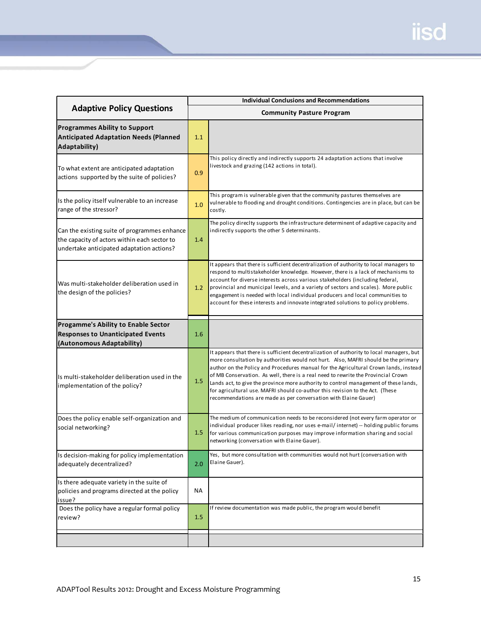|                                                                                                                                           |                                  | <b>Individual Conclusions and Recommendations</b>                                                                                                                                                                                                                                                                                                                                                                                                                                                                                                                                                       |  |  |  |
|-------------------------------------------------------------------------------------------------------------------------------------------|----------------------------------|---------------------------------------------------------------------------------------------------------------------------------------------------------------------------------------------------------------------------------------------------------------------------------------------------------------------------------------------------------------------------------------------------------------------------------------------------------------------------------------------------------------------------------------------------------------------------------------------------------|--|--|--|
| <b>Adaptive Policy Questions</b>                                                                                                          | <b>Community Pasture Program</b> |                                                                                                                                                                                                                                                                                                                                                                                                                                                                                                                                                                                                         |  |  |  |
| <b>Programmes Ability to Support</b><br><b>Anticipated Adaptation Needs (Planned</b><br><b>Adaptability)</b>                              | 1.1                              |                                                                                                                                                                                                                                                                                                                                                                                                                                                                                                                                                                                                         |  |  |  |
| To what extent are anticipated adaptation<br>actions supported by the suite of policies?                                                  | 0.9                              | This policy directly and indirectly supports 24 adaptation actions that involve<br>livestock and grazing (142 actions in total).                                                                                                                                                                                                                                                                                                                                                                                                                                                                        |  |  |  |
| Is the policy itself vulnerable to an increase<br>range of the stressor?                                                                  | 1.0                              | This program is vulnerable given that the community pastures themselves are<br>vulnerable to flooding and drought conditions. Contingencies are in place, but can be<br>costly.                                                                                                                                                                                                                                                                                                                                                                                                                         |  |  |  |
| Can the existing suite of programmes enhance<br>the capacity of actors within each sector to<br>undertake anticipated adaptation actions? | 1.4                              | The policy direclty supports the infrastructure determinent of adaptive capacity and<br>indirectly supports the other 5 determinants.                                                                                                                                                                                                                                                                                                                                                                                                                                                                   |  |  |  |
| Was multi-stakeholder deliberation used in<br>the design of the policies?                                                                 | 1.2                              | It appears that there is sufficient decentralization of authority to local managers to<br>respond to multistakeholder knowledge. However, there is a lack of mechanisms to<br>account for diverse interests across various stakeholders (including federal,<br>provincial and municipal levels, and a variety of sectors and scales). More public<br>engagement is needed with local individual producers and local communities to<br>account for these interests and innovate integrated solutions to policy problems.                                                                                 |  |  |  |
| Progamme's Ability to Enable Sector<br><b>Responses to Unanticipated Events</b>                                                           | 1.6                              |                                                                                                                                                                                                                                                                                                                                                                                                                                                                                                                                                                                                         |  |  |  |
| (Autonomous Adaptability)                                                                                                                 |                                  |                                                                                                                                                                                                                                                                                                                                                                                                                                                                                                                                                                                                         |  |  |  |
| Is multi-stakeholder deliberation used in the<br>implementation of the policy?                                                            | 1.5                              | It appears that there is sufficient decentralization of authority to local managers, but<br>more consultation by authorities would not hurt. Also, MAFRI should be the primary<br>author on the Policy and Procedures manual for the Agricultural Crown lands, instead<br>of MB Conservation. As well, there is a real need to rewrite the Provincial Crown<br>Lands act, to give the province more authority to control management of these lands,<br>for agricultural use. MAFRI should co-author this revision to the Act. (These<br>recommendations are made as per conversation with Elaine Gauer) |  |  |  |
| Does the policy enable self-organization and<br>social networking?                                                                        | 1.5                              | The medium of communication needs to be reconsidered (not every farm operator or<br>individual producer likes reading, nor uses e-mail/internet) -- holding public forums<br>for various communication purposes may improve information sharing and social<br>networking (conversation with Elaine Gauer).                                                                                                                                                                                                                                                                                              |  |  |  |
| Is decision-making for policy implementation<br>adequately decentralized?                                                                 | 2.0                              | Yes, but more consultation with communities would not hurt (conversation with<br>Elaine Gauer).                                                                                                                                                                                                                                                                                                                                                                                                                                                                                                         |  |  |  |
| Is there adequate variety in the suite of<br>policies and programs directed at the policy<br>issue?                                       | ΝA                               |                                                                                                                                                                                                                                                                                                                                                                                                                                                                                                                                                                                                         |  |  |  |
| Does the policy have a regular formal policy<br>review?                                                                                   | 1.5                              | If review documentation was made public, the program would benefit                                                                                                                                                                                                                                                                                                                                                                                                                                                                                                                                      |  |  |  |
|                                                                                                                                           |                                  |                                                                                                                                                                                                                                                                                                                                                                                                                                                                                                                                                                                                         |  |  |  |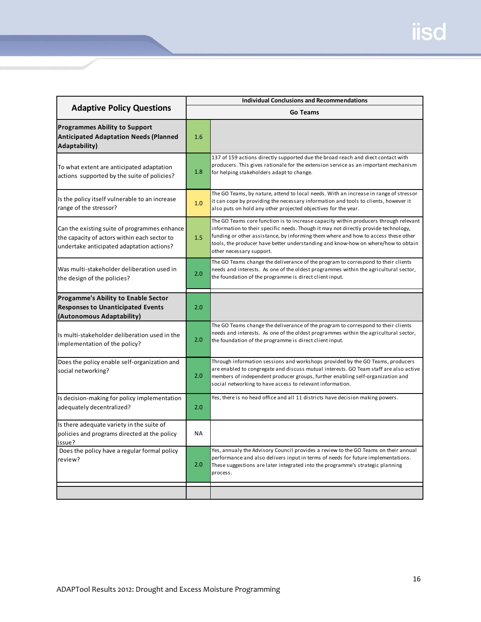|                                                                                                                                           | <b>Individual Conclusions and Recommendations</b> |                                                                                                                                                                                                                                                                                                                                                                                    |  |  |
|-------------------------------------------------------------------------------------------------------------------------------------------|---------------------------------------------------|------------------------------------------------------------------------------------------------------------------------------------------------------------------------------------------------------------------------------------------------------------------------------------------------------------------------------------------------------------------------------------|--|--|
| <b>Adaptive Policy Questions</b>                                                                                                          |                                                   | <b>Go Teams</b>                                                                                                                                                                                                                                                                                                                                                                    |  |  |
| <b>Programmes Ability to Support</b><br><b>Anticipated Adaptation Needs (Planned</b><br>Adaptability)                                     | 1.6                                               |                                                                                                                                                                                                                                                                                                                                                                                    |  |  |
| To what extent are anticipated adaptation<br>actions supported by the suite of policies?                                                  | 1.8                                               | 137 of 159 actions directly supported due the broad reach and diect contact with<br>producers. This gives rationale for the extension service as an important mechanism<br>for helping stakeholders adapt to change.                                                                                                                                                               |  |  |
| Is the policy itself vulnerable to an increase<br>range of the stressor?                                                                  | 1.0                                               | The GO Teams, by nature, attend to local needs. With an increase in range of stressor<br>it can cope by providing the necessary information and tools to clients, however it<br>also puts on hold any other projected objectives for the year.                                                                                                                                     |  |  |
| Can the existing suite of programmes enhance<br>the capacity of actors within each sector to<br>undertake anticipated adaptation actions? | 1.5                                               | The GO Teams core function is to increase capacity within producers through relevant<br>information to their specific needs. Though it may not directly provide technology,<br>funding or other assistance, by informing them where and how to access these other<br>tools, the producer have better understanding and know-how on where/how to obtain<br>other necessary support. |  |  |
| Was multi-stakeholder deliberation used in<br>the design of the policies?                                                                 | 2.0                                               | The GO Teams change the deliverance of the program to correspond to their clients<br>needs and interests. As one of the oldest programmes within the agricultural sector,<br>the foundation of the programme is direct client input.                                                                                                                                               |  |  |
| <b>Progamme's Ability to Enable Sector</b><br><b>Responses to Unanticipated Events</b><br>(Autonomous Adaptability)                       | 2.0                                               |                                                                                                                                                                                                                                                                                                                                                                                    |  |  |
| Is multi-stakeholder deliberation used in the<br>implementation of the policy?                                                            | 2.0                                               | The GO Teams change the deliverance of the program to correspond to their clients<br>needs and interests. As one of the oldest programmes within the agricultural sector,<br>the foundation of the programme is direct client input.                                                                                                                                               |  |  |
| Does the policy enable self-organization and<br>social networking?                                                                        | 2.0                                               | Through information sessions and workshops provided by the GO Teams, producers<br>are enabled to congregate and discuss mutual interests. GO Team staff are also active<br>members of independent producer groups, further enabling self-organization and<br>social networking to have access to relevant information.                                                             |  |  |
| Is decision-making for policy implementation<br>adequately decentralized?                                                                 | 2.0                                               | Yes, there is no head office and all 11 districts have decision making powers.                                                                                                                                                                                                                                                                                                     |  |  |
| Is there adequate variety in the suite of<br>policies and programs directed at the policy<br>issue?                                       | <b>NA</b>                                         |                                                                                                                                                                                                                                                                                                                                                                                    |  |  |
| Does the policy have a regular formal policy<br>review?                                                                                   | 2.0                                               | Yes, annualy the Advisory Council provides a review to the GO Teams on their annual<br>performance and also delivers input in terms of needs for future implementations.<br>These suggestions are later integrated into the programme's strategic planning<br>process.                                                                                                             |  |  |
|                                                                                                                                           |                                                   |                                                                                                                                                                                                                                                                                                                                                                                    |  |  |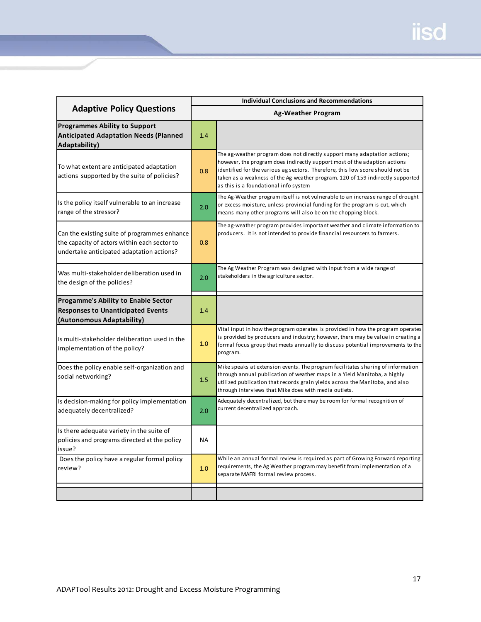|                                                                                                                                           | <b>Individual Conclusions and Recommendations</b> |                                                                                                                                                                                                                                                                                                                                                                     |  |  |
|-------------------------------------------------------------------------------------------------------------------------------------------|---------------------------------------------------|---------------------------------------------------------------------------------------------------------------------------------------------------------------------------------------------------------------------------------------------------------------------------------------------------------------------------------------------------------------------|--|--|
| <b>Adaptive Policy Questions</b>                                                                                                          | <b>Ag-Weather Program</b>                         |                                                                                                                                                                                                                                                                                                                                                                     |  |  |
| <b>Programmes Ability to Support</b><br><b>Anticipated Adaptation Needs (Planned</b><br>Adaptability)                                     | 1.4                                               |                                                                                                                                                                                                                                                                                                                                                                     |  |  |
| To what extent are anticipated adaptation<br>actions supported by the suite of policies?                                                  | 0.8                                               | The ag-weather program does not directly support many adaptation actions;<br>however, the program does indirectly support most of the adaption actions<br>identified for the various ag sectors. Therefore, this low score should not be<br>taken as a weakness of the Ag-weather program. 120 of 159 indirectly supported<br>as this is a foundational info system |  |  |
| Is the policy itself vulnerable to an increase<br>range of the stressor?                                                                  | 2.0                                               | The Ag-Weather program itself is not vulnerable to an increase range of drought<br>or excess moisture, unless provincial funding for the program is cut, which<br>means many other programs will also be on the chopping block.                                                                                                                                     |  |  |
| Can the existing suite of programmes enhance<br>the capacity of actors within each sector to<br>undertake anticipated adaptation actions? | 0.8                                               | The ag-weather program provides important weather and climate information to<br>producers. It is not intended to provide financial resourcers to farmers.                                                                                                                                                                                                           |  |  |
| Was multi-stakeholder deliberation used in<br>the design of the policies?                                                                 | 2.0                                               | The Ag Weather Program was designed with input from a wide range of<br>stakeholders in the agriculture sector.                                                                                                                                                                                                                                                      |  |  |
| Progamme's Ability to Enable Sector<br><b>Responses to Unanticipated Events</b><br>(Autonomous Adaptability)                              | 1.4                                               |                                                                                                                                                                                                                                                                                                                                                                     |  |  |
| Is multi-stakeholder deliberation used in the<br>implementation of the policy?                                                            | 1.0                                               | Vital input in how the program operates is provided in how the program operates<br>is provided by producers and industry; however, there may be value in creating a<br>formal focus group that meets annually to discuss potential improvements to the<br>program.                                                                                                  |  |  |
| Does the policy enable self-organization and<br>social networking?                                                                        | 1.5                                               | Mike speaks at extension events. The program facilitates sharing of information<br>through annual publication of weather maps in a Yield Manitoba, a highly<br>utilized publication that records grain yields across the Manitoba, and also<br>through interviews that Mike does with media outlets.                                                                |  |  |
| Is decision-making for policy implementation<br>adequately decentralized?                                                                 | 2.0                                               | Adequately decentralized, but there may be room for formal recognition of<br>current decentralized approach.                                                                                                                                                                                                                                                        |  |  |
| Is there adequate variety in the suite of<br>policies and programs directed at the policy<br>issue?                                       | <b>NA</b>                                         |                                                                                                                                                                                                                                                                                                                                                                     |  |  |
| Does the policy have a regular formal policy<br>review?                                                                                   | 1.0                                               | While an annual formal review is required as part of Growing Forward reporting<br>requirements, the Ag Weather program may benefit from implementation of a<br>separate MAFRI formal review process.                                                                                                                                                                |  |  |
|                                                                                                                                           |                                                   |                                                                                                                                                                                                                                                                                                                                                                     |  |  |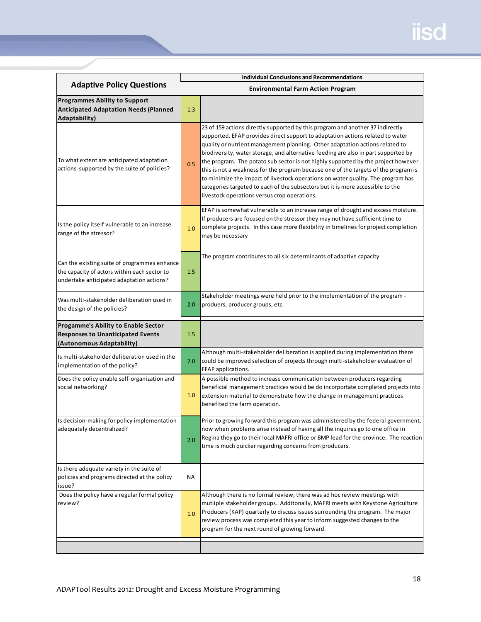|                                                                                                                                           | <b>Individual Conclusions and Recommendations</b><br><b>Environmental Farm Action Program</b> |                                                                                                                                                                                                                                                                                                                                                                                                                                                                                                                                                                                                                                                                                                                                          |  |
|-------------------------------------------------------------------------------------------------------------------------------------------|-----------------------------------------------------------------------------------------------|------------------------------------------------------------------------------------------------------------------------------------------------------------------------------------------------------------------------------------------------------------------------------------------------------------------------------------------------------------------------------------------------------------------------------------------------------------------------------------------------------------------------------------------------------------------------------------------------------------------------------------------------------------------------------------------------------------------------------------------|--|
| <b>Adaptive Policy Questions</b>                                                                                                          |                                                                                               |                                                                                                                                                                                                                                                                                                                                                                                                                                                                                                                                                                                                                                                                                                                                          |  |
| <b>Programmes Ability to Support</b><br><b>Anticipated Adaptation Needs (Planned</b><br><b>Adaptability)</b>                              | 1.3                                                                                           |                                                                                                                                                                                                                                                                                                                                                                                                                                                                                                                                                                                                                                                                                                                                          |  |
| To what extent are anticipated adaptation<br>actions supported by the suite of policies?                                                  | 0.5                                                                                           | 23 of 159 actions directly supported by this program and another 37 indirectly<br>supported. EFAP provides direct support to adaptation actions related to water<br>quality or nutrient management planning. Other adaptation actions related to<br>biodiversity, water storage, and alternative feeding are also in part supported by<br>the program. The potato sub sector is not highly supported by the project however<br>this is not a weakness for the program because one of the targets of the program is<br>to minimize the impact of livestock operations on water quality. The program has<br>categories targeted to each of the subsectors but it is more accessible to the<br>livestock operations versus crop operations. |  |
| Is the policy itself vulnerable to an increase<br>range of the stressor?                                                                  | 1.0                                                                                           | EFAP is somewhat vulnerable to an increase range of drought and excess moisture.<br>If producers are focused on the stressor they may not have sufficient time to<br>complete projects. In this case more flexibility in timelines for project completion<br>may be necessary                                                                                                                                                                                                                                                                                                                                                                                                                                                            |  |
| Can the existing suite of programmes enhance<br>the capacity of actors within each sector to<br>undertake anticipated adaptation actions? | 1.5                                                                                           | The program contributes to all six determinants of adaptive capacity                                                                                                                                                                                                                                                                                                                                                                                                                                                                                                                                                                                                                                                                     |  |
| Was multi-stakeholder deliberation used in<br>the design of the policies?                                                                 | 2.0                                                                                           | Stakeholder meetings were held prior to the implementation of the program -<br>produers, producer groups, etc.                                                                                                                                                                                                                                                                                                                                                                                                                                                                                                                                                                                                                           |  |
| Progamme's Ability to Enable Sector<br><b>Responses to Unanticipated Events</b><br>(Autonomous Adaptability)                              | 1.5                                                                                           |                                                                                                                                                                                                                                                                                                                                                                                                                                                                                                                                                                                                                                                                                                                                          |  |
| Is multi-stakeholder deliberation used in the<br>implementation of the policy?                                                            | 2.0                                                                                           | Although multi-stakeholder deliberation is applied during implementation there<br>could be improved selection of projects through multi-stakeholder evaluation of<br>EFAP applications.                                                                                                                                                                                                                                                                                                                                                                                                                                                                                                                                                  |  |
| Does the policy enable self-organization and<br>social networking?                                                                        | 1.0                                                                                           | A possible method to increase communication between producers regarding<br>beneficial management practices would be do incorportate completed projects into<br>extension material to demonstrate how the change in management practices<br>benefited the farm operation.                                                                                                                                                                                                                                                                                                                                                                                                                                                                 |  |
| Is decision-making for policy implementation<br>adequately decentralized?                                                                 | 2.0                                                                                           | Prior to growing forward this program was administered by the federal government,<br>now when problems arise instead of having all the inquires go to one office in<br>Regina they go to their local MAFRI office or BMP lead for the province. The reaction<br>time is much quicker regarding concerns from producers.                                                                                                                                                                                                                                                                                                                                                                                                                  |  |
| Is there adequate variety in the suite of<br>policies and programs directed at the policy<br>issue?                                       | ΝA                                                                                            |                                                                                                                                                                                                                                                                                                                                                                                                                                                                                                                                                                                                                                                                                                                                          |  |
| Does the policy have a regular formal policy<br>review?                                                                                   | 1.0                                                                                           | Although there is no formal review, there was ad hoc review meetings with<br>mutliple stakeholder groups. Additonally, MAFRI meets with Keystone Agriculture<br>Producers (KAP) quarterly to discuss issues surrounding the program. The major<br>review process was completed this year to inform suggested changes to the<br>program for the next round of growing forward.                                                                                                                                                                                                                                                                                                                                                            |  |
|                                                                                                                                           |                                                                                               |                                                                                                                                                                                                                                                                                                                                                                                                                                                                                                                                                                                                                                                                                                                                          |  |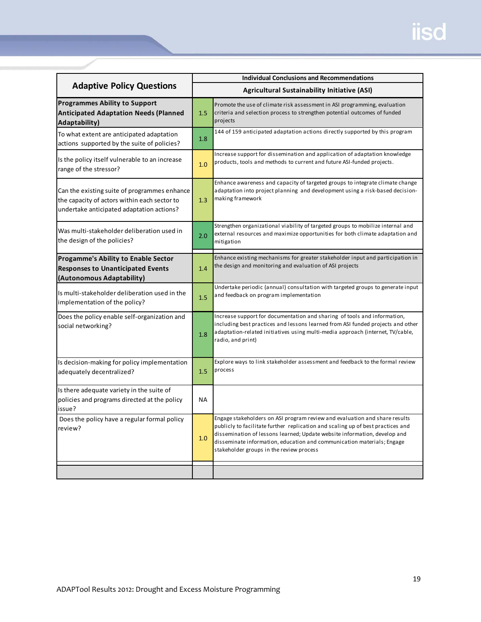|                                                                                                                                           |                                                     | <b>Individual Conclusions and Recommendations</b>                                                                                                                                                                                                                                                                                                                |  |  |  |
|-------------------------------------------------------------------------------------------------------------------------------------------|-----------------------------------------------------|------------------------------------------------------------------------------------------------------------------------------------------------------------------------------------------------------------------------------------------------------------------------------------------------------------------------------------------------------------------|--|--|--|
| <b>Adaptive Policy Questions</b>                                                                                                          | <b>Agricultural Sustainability Initiative (ASI)</b> |                                                                                                                                                                                                                                                                                                                                                                  |  |  |  |
| <b>Programmes Ability to Support</b><br><b>Anticipated Adaptation Needs (Planned</b><br>Adaptability)                                     | 1.5                                                 | Promote the use of climate risk assessment in ASI programming, evaluation<br>criteria and selection process to strengthen potential outcomes of funded<br>projects                                                                                                                                                                                               |  |  |  |
| To what extent are anticipated adaptation<br>actions supported by the suite of policies?                                                  | 1.8                                                 | 144 of 159 anticipated adaptation actions directly supported by this program                                                                                                                                                                                                                                                                                     |  |  |  |
| Is the policy itself vulnerable to an increase<br>range of the stressor?                                                                  | 1.0                                                 | Increase support for dissemination and application of adaptation knowledge<br>products, tools and methods to current and future ASI-funded projects.                                                                                                                                                                                                             |  |  |  |
| Can the existing suite of programmes enhance<br>the capacity of actors within each sector to<br>undertake anticipated adaptation actions? | 1.3                                                 | Enhance awareness and capacity of targeted groups to integrate climate change<br>adaptation into project planning and development using a risk-based decision-<br>making framework                                                                                                                                                                               |  |  |  |
| Was multi-stakeholder deliberation used in<br>the design of the policies?                                                                 | 2.0                                                 | Strengthen organizational viability of targeted groups to mobilize internal and<br>external resources and maximize opportunities for both climate adaptation and<br>mitigation                                                                                                                                                                                   |  |  |  |
| <b>Progamme's Ability to Enable Sector</b><br><b>Responses to Unanticipated Events</b><br>(Autonomous Adaptability)                       | 1.4                                                 | Enhance existing mechanisms for greater stakeholder input and participation in<br>the design and monitoring and evaluation of ASI projects                                                                                                                                                                                                                       |  |  |  |
| Is multi-stakeholder deliberation used in the<br>implementation of the policy?                                                            | 1.5                                                 | Undertake periodic (annual) consultation with targeted groups to generate input<br>and feedback on program implementation                                                                                                                                                                                                                                        |  |  |  |
| Does the policy enable self-organization and<br>social networking?                                                                        | 1.8                                                 | Increase support for documentation and sharing of tools and information,<br>including best practices and lessons learned from ASI funded projects and other<br>adaptation-related initiatives using multi-media approach (internet, TV/cable,<br>radio, and print)                                                                                               |  |  |  |
| Is decision-making for policy implementation<br>adequately decentralized?                                                                 | 1.5                                                 | Explore ways to link stakeholder assessment and feedback to the formal review<br>process                                                                                                                                                                                                                                                                         |  |  |  |
| Is there adequate variety in the suite of<br>policies and programs directed at the policy<br>issue?                                       | ΝA                                                  |                                                                                                                                                                                                                                                                                                                                                                  |  |  |  |
| Does the policy have a regular formal policy<br>review?                                                                                   | 1.0                                                 | Engage stakeholders on ASI program review and evaluation and share results<br>publicly to facilitate further replication and scaling up of best practices and<br>dissemination of lessons learned; Update website information, develop and<br>disseminate information, education and communication materials; Engage<br>stakeholder groups in the review process |  |  |  |
|                                                                                                                                           |                                                     |                                                                                                                                                                                                                                                                                                                                                                  |  |  |  |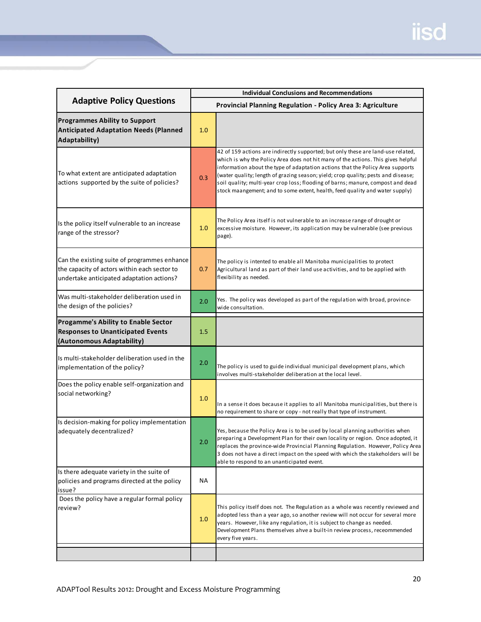| <b>Adaptive Policy Questions</b>                                                                                                          | <b>Individual Conclusions and Recommendations</b> |                                                                                                                                                                                                                                                                                                                                                                                                                                                                                                                 |
|-------------------------------------------------------------------------------------------------------------------------------------------|---------------------------------------------------|-----------------------------------------------------------------------------------------------------------------------------------------------------------------------------------------------------------------------------------------------------------------------------------------------------------------------------------------------------------------------------------------------------------------------------------------------------------------------------------------------------------------|
|                                                                                                                                           |                                                   | Provincial Planning Regulation - Policy Area 3: Agriculture                                                                                                                                                                                                                                                                                                                                                                                                                                                     |
| <b>Programmes Ability to Support</b><br><b>Anticipated Adaptation Needs (Planned</b><br>Adaptability)                                     | 1.0                                               |                                                                                                                                                                                                                                                                                                                                                                                                                                                                                                                 |
| To what extent are anticipated adaptation<br>actions supported by the suite of policies?                                                  | 0.3                                               | 42 of 159 actions are indirectly supported; but only these are land-use related,<br>which is why the Policy Area does not hit many of the actions. This gives helpful<br>information about the type of adaptation actions that the Policy Area supports<br>(water quality; length of grazing season; yield; crop quality; pests and disease;<br>soil quality; multi-year crop loss; flooding of barns; manure, compost and dead<br>stock maangement; and to some extent, health, feed quality and water supply) |
| Is the policy itself vulnerable to an increase<br>range of the stressor?                                                                  | 1.0                                               | The Policy Area itself is not vulnerable to an increase range of drought or<br>excessive moisture. However, its application may be vulnerable (see previous<br>page).                                                                                                                                                                                                                                                                                                                                           |
| Can the existing suite of programmes enhance<br>the capacity of actors within each sector to<br>undertake anticipated adaptation actions? | 0.7                                               | The policy is intented to enable all Manitoba municipalities to protect<br>Agricultural land as part of their land use activities, and to be applied with<br>flexibility as needed.                                                                                                                                                                                                                                                                                                                             |
| Was multi-stakeholder deliberation used in<br>the design of the policies?                                                                 | 2.0                                               | Yes. The policy was developed as part of the regulation with broad, province-<br>wide consultation.                                                                                                                                                                                                                                                                                                                                                                                                             |
| <b>Progamme's Ability to Enable Sector</b><br><b>Responses to Unanticipated Events</b><br>(Autonomous Adaptability)                       | 1.5                                               |                                                                                                                                                                                                                                                                                                                                                                                                                                                                                                                 |
| Is multi-stakeholder deliberation used in the<br>implementation of the policy?                                                            | 2.0                                               | The policy is used to guide individual municipal development plans, which<br>involves multi-stakeholder deliberation at the local level.                                                                                                                                                                                                                                                                                                                                                                        |
| Does the policy enable self-organization and<br>social networking?                                                                        | 1.0                                               | In a sense it does because it applies to all Manitoba municipalities, but there is<br>no requirement to share or copy - not really that type of instrument.                                                                                                                                                                                                                                                                                                                                                     |
| Is decision-making for policy implementation<br>adequately decentralized?                                                                 | 2.0                                               | Yes, because the Policy Area is to be used by local planning authorities when<br>preparing a Development Plan for their own locality or region. Once adopted, it<br>replaces the province-wide Provincial Planning Regulation. However, Policy Area<br>3 does not have a direct impact on the speed with which the stakeholders will be<br>able to respond to an unanticipated event.                                                                                                                           |
| Is there adequate variety in the suite of<br>policies and programs directed at the policy<br>issue?                                       | NA                                                |                                                                                                                                                                                                                                                                                                                                                                                                                                                                                                                 |
| Does the policy have a regular formal policy<br>review?                                                                                   | 1.0                                               | This policy itself does not. The Regulation as a whole was recently reviewed and<br>adopted less than a year ago, so another review will not occur for several more<br>years. However, like any regulation, it is subject to change as needed.<br>Development Plans themselves ahve a built-in review process, receommended<br>every five years.                                                                                                                                                                |
|                                                                                                                                           |                                                   |                                                                                                                                                                                                                                                                                                                                                                                                                                                                                                                 |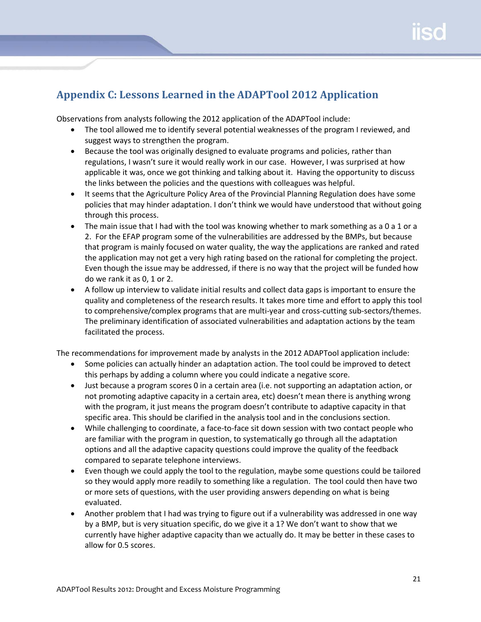## <span id="page-21-0"></span>**Appendix C: Lessons Learned in the ADAPTool 2012 Application**

Observations from analysts following the 2012 application of the ADAPTool include:

- The tool allowed me to identify several potential weaknesses of the program I reviewed, and suggest ways to strengthen the program.
- Because the tool was originally designed to evaluate programs and policies, rather than regulations, I wasn't sure it would really work in our case. However, I was surprised at how applicable it was, once we got thinking and talking about it. Having the opportunity to discuss the links between the policies and the questions with colleagues was helpful.
- It seems that the Agriculture Policy Area of the Provincial Planning Regulation does have some policies that may hinder adaptation. I don't think we would have understood that without going through this process.
- The main issue that I had with the tool was knowing whether to mark something as a 0 a 1 or a 2. For the EFAP program some of the vulnerabilities are addressed by the BMPs, but because that program is mainly focused on water quality, the way the applications are ranked and rated the application may not get a very high rating based on the rational for completing the project. Even though the issue may be addressed, if there is no way that the project will be funded how do we rank it as 0, 1 or 2.
- A follow up interview to validate initial results and collect data gaps is important to ensure the quality and completeness of the research results. It takes more time and effort to apply this tool to comprehensive/complex programs that are multi-year and cross-cutting sub-sectors/themes. The preliminary identification of associated vulnerabilities and adaptation actions by the team facilitated the process.

The recommendations for improvement made by analysts in the 2012 ADAPTool application include:

- Some policies can actually hinder an adaptation action. The tool could be improved to detect this perhaps by adding a column where you could indicate a negative score.
- Just because a program scores 0 in a certain area (i.e. not supporting an adaptation action, or not promoting adaptive capacity in a certain area, etc) doesn't mean there is anything wrong with the program, it just means the program doesn't contribute to adaptive capacity in that specific area. This should be clarified in the analysis tool and in the conclusions section.
- While challenging to coordinate, a face-to-face sit down session with two contact people who are familiar with the program in question, to systematically go through all the adaptation options and all the adaptive capacity questions could improve the quality of the feedback compared to separate telephone interviews.
- Even though we could apply the tool to the regulation, maybe some questions could be tailored so they would apply more readily to something like a regulation. The tool could then have two or more sets of questions, with the user providing answers depending on what is being evaluated.
- Another problem that I had was trying to figure out if a vulnerability was addressed in one way by a BMP, but is very situation specific, do we give it a 1? We don't want to show that we currently have higher adaptive capacity than we actually do. It may be better in these cases to allow for 0.5 scores.